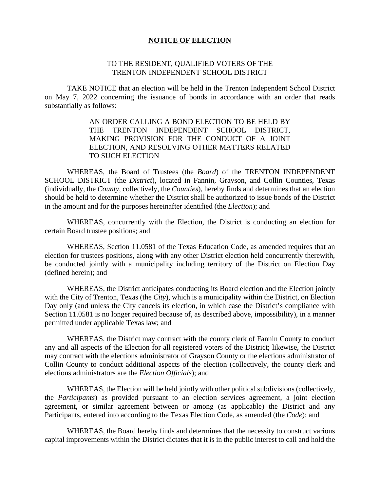### **NOTICE OF ELECTION**

### TO THE RESIDENT, QUALIFIED VOTERS OF THE TRENTON INDEPENDENT SCHOOL DISTRICT

TAKE NOTICE that an election will be held in the Trenton Independent School District on May 7, 2022 concerning the issuance of bonds in accordance with an order that reads substantially as follows:

> AN ORDER CALLING A BOND ELECTION TO BE HELD BY THE TRENTON INDEPENDENT SCHOOL DISTRICT, MAKING PROVISION FOR THE CONDUCT OF A JOINT ELECTION, AND RESOLVING OTHER MATTERS RELATED TO SUCH ELECTION

WHEREAS, the Board of Trustees (the *Board*) of the TRENTON INDEPENDENT SCHOOL DISTRICT (the *District*), located in Fannin, Grayson, and Collin Counties, Texas (individually, the *County*, collectively, the *Counties*), hereby finds and determines that an election should be held to determine whether the District shall be authorized to issue bonds of the District in the amount and for the purposes hereinafter identified (the *Election*); and

WHEREAS, concurrently with the Election, the District is conducting an election for certain Board trustee positions; and

WHEREAS, Section 11.0581 of the Texas Education Code, as amended requires that an election for trustees positions, along with any other District election held concurrently therewith, be conducted jointly with a municipality including territory of the District on Election Day (defined herein); and

WHEREAS, the District anticipates conducting its Board election and the Election jointly with the City of Trenton, Texas (the *City*), which is a municipality within the District, on Election Day only (and unless the City cancels its election, in which case the District's compliance with Section 11.0581 is no longer required because of, as described above, impossibility), in a manner permitted under applicable Texas law; and

WHEREAS, the District may contract with the county clerk of Fannin County to conduct any and all aspects of the Election for all registered voters of the District; likewise, the District may contract with the elections administrator of Grayson County or the elections administrator of Collin County to conduct additional aspects of the election (collectively, the county clerk and elections administrators are the *Election Officials*); and

WHEREAS, the Election will be held jointly with other political subdivisions (collectively, the *Participants*) as provided pursuant to an election services agreement, a joint election agreement, or similar agreement between or among (as applicable) the District and any Participants, entered into according to the Texas Election Code, as amended (the *Code*); and

WHEREAS, the Board hereby finds and determines that the necessity to construct various capital improvements within the District dictates that it is in the public interest to call and hold the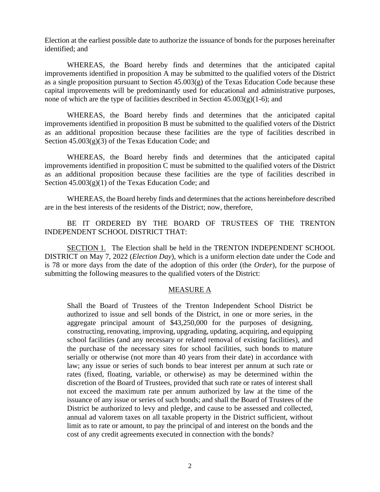Election at the earliest possible date to authorize the issuance of bonds for the purposes hereinafter identified; and

WHEREAS, the Board hereby finds and determines that the anticipated capital improvements identified in proposition A may be submitted to the qualified voters of the District as a single proposition pursuant to Section  $45.003(g)$  of the Texas Education Code because these capital improvements will be predominantly used for educational and administrative purposes, none of which are the type of facilities described in Section  $45.003(g)(1-6)$ ; and

WHEREAS, the Board hereby finds and determines that the anticipated capital improvements identified in proposition B must be submitted to the qualified voters of the District as an additional proposition because these facilities are the type of facilities described in Section  $45.003(g)(3)$  of the Texas Education Code; and

WHEREAS, the Board hereby finds and determines that the anticipated capital improvements identified in proposition C must be submitted to the qualified voters of the District as an additional proposition because these facilities are the type of facilities described in Section  $45.003(g)(1)$  of the Texas Education Code; and

WHEREAS, the Board hereby finds and determines that the actions hereinbefore described are in the best interests of the residents of the District; now, therefore,

## BE IT ORDERED BY THE BOARD OF TRUSTEES OF THE TRENTON INDEPENDENT SCHOOL DISTRICT THAT:

SECTION 1. The Election shall be held in the TRENTON INDEPENDENT SCHOOL DISTRICT on May 7, 2022 (*Election Day*), which is a uniform election date under the Code and is 78 or more days from the date of the adoption of this order (the *Order*), for the purpose of submitting the following measures to the qualified voters of the District:

## MEASURE A

Shall the Board of Trustees of the Trenton Independent School District be authorized to issue and sell bonds of the District, in one or more series, in the aggregate principal amount of \$43,250,000 for the purposes of designing, constructing, renovating, improving, upgrading, updating, acquiring, and equipping school facilities (and any necessary or related removal of existing facilities), and the purchase of the necessary sites for school facilities, such bonds to mature serially or otherwise (not more than 40 years from their date) in accordance with law; any issue or series of such bonds to bear interest per annum at such rate or rates (fixed, floating, variable, or otherwise) as may be determined within the discretion of the Board of Trustees, provided that such rate or rates of interest shall not exceed the maximum rate per annum authorized by law at the time of the issuance of any issue or series of such bonds; and shall the Board of Trustees of the District be authorized to levy and pledge, and cause to be assessed and collected, annual ad valorem taxes on all taxable property in the District sufficient, without limit as to rate or amount, to pay the principal of and interest on the bonds and the cost of any credit agreements executed in connection with the bonds?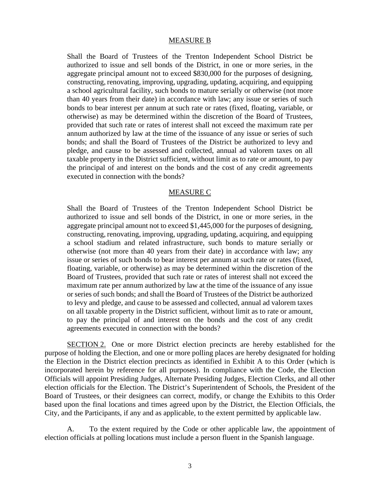### MEASURE B

Shall the Board of Trustees of the Trenton Independent School District be authorized to issue and sell bonds of the District, in one or more series, in the aggregate principal amount not to exceed \$830,000 for the purposes of designing, constructing, renovating, improving, upgrading, updating, acquiring, and equipping a school agricultural facility, such bonds to mature serially or otherwise (not more than 40 years from their date) in accordance with law; any issue or series of such bonds to bear interest per annum at such rate or rates (fixed, floating, variable, or otherwise) as may be determined within the discretion of the Board of Trustees, provided that such rate or rates of interest shall not exceed the maximum rate per annum authorized by law at the time of the issuance of any issue or series of such bonds; and shall the Board of Trustees of the District be authorized to levy and pledge, and cause to be assessed and collected, annual ad valorem taxes on all taxable property in the District sufficient, without limit as to rate or amount, to pay the principal of and interest on the bonds and the cost of any credit agreements executed in connection with the bonds?

#### MEASURE C

Shall the Board of Trustees of the Trenton Independent School District be authorized to issue and sell bonds of the District, in one or more series, in the aggregate principal amount not to exceed \$1,445,000 for the purposes of designing, constructing, renovating, improving, upgrading, updating, acquiring, and equipping a school stadium and related infrastructure, such bonds to mature serially or otherwise (not more than 40 years from their date) in accordance with law; any issue or series of such bonds to bear interest per annum at such rate or rates (fixed, floating, variable, or otherwise) as may be determined within the discretion of the Board of Trustees, provided that such rate or rates of interest shall not exceed the maximum rate per annum authorized by law at the time of the issuance of any issue or series of such bonds; and shall the Board of Trustees of the District be authorized to levy and pledge, and cause to be assessed and collected, annual ad valorem taxes on all taxable property in the District sufficient, without limit as to rate or amount, to pay the principal of and interest on the bonds and the cost of any credit agreements executed in connection with the bonds?

SECTION 2. One or more District election precincts are hereby established for the purpose of holding the Election, and one or more polling places are hereby designated for holding the Election in the District election precincts as identified in Exhibit A to this Order (which is incorporated herein by reference for all purposes). In compliance with the Code, the Election Officials will appoint Presiding Judges, Alternate Presiding Judges, Election Clerks, and all other election officials for the Election. The District's Superintendent of Schools, the President of the Board of Trustees, or their designees can correct, modify, or change the Exhibits to this Order based upon the final locations and times agreed upon by the District, the Election Officials, the City, and the Participants, if any and as applicable, to the extent permitted by applicable law.

A. To the extent required by the Code or other applicable law, the appointment of election officials at polling locations must include a person fluent in the Spanish language.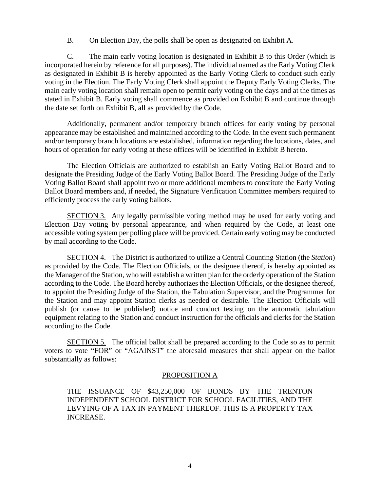B. On Election Day, the polls shall be open as designated on Exhibit A.

C. The main early voting location is designated in Exhibit B to this Order (which is incorporated herein by reference for all purposes). The individual named as the Early Voting Clerk as designated in Exhibit B is hereby appointed as the Early Voting Clerk to conduct such early voting in the Election. The Early Voting Clerk shall appoint the Deputy Early Voting Clerks. The main early voting location shall remain open to permit early voting on the days and at the times as stated in Exhibit B. Early voting shall commence as provided on Exhibit B and continue through the date set forth on Exhibit B, all as provided by the Code.

Additionally, permanent and/or temporary branch offices for early voting by personal appearance may be established and maintained according to the Code. In the event such permanent and/or temporary branch locations are established, information regarding the locations, dates, and hours of operation for early voting at these offices will be identified in Exhibit B hereto.

The Election Officials are authorized to establish an Early Voting Ballot Board and to designate the Presiding Judge of the Early Voting Ballot Board. The Presiding Judge of the Early Voting Ballot Board shall appoint two or more additional members to constitute the Early Voting Ballot Board members and, if needed, the Signature Verification Committee members required to efficiently process the early voting ballots.

SECTION 3. Any legally permissible voting method may be used for early voting and Election Day voting by personal appearance, and when required by the Code, at least one accessible voting system per polling place will be provided. Certain early voting may be conducted by mail according to the Code.

SECTION 4. The District is authorized to utilize a Central Counting Station (the *Station*) as provided by the Code. The Election Officials, or the designee thereof, is hereby appointed as the Manager of the Station, who will establish a written plan for the orderly operation of the Station according to the Code. The Board hereby authorizes the Election Officials, or the designee thereof, to appoint the Presiding Judge of the Station, the Tabulation Supervisor, and the Programmer for the Station and may appoint Station clerks as needed or desirable. The Election Officials will publish (or cause to be published) notice and conduct testing on the automatic tabulation equipment relating to the Station and conduct instruction for the officials and clerks for the Station according to the Code.

SECTION 5. The official ballot shall be prepared according to the Code so as to permit voters to vote "FOR" or "AGAINST" the aforesaid measures that shall appear on the ballot substantially as follows:

## PROPOSITION A

THE ISSUANCE OF \$43,250,000 OF BONDS BY THE TRENTON INDEPENDENT SCHOOL DISTRICT FOR SCHOOL FACILITIES, AND THE LEVYING OF A TAX IN PAYMENT THEREOF. THIS IS A PROPERTY TAX INCREASE.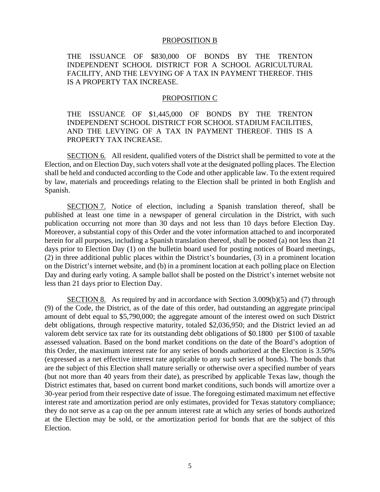#### PROPOSITION B

THE ISSUANCE OF \$830,000 OF BONDS BY THE TRENTON INDEPENDENT SCHOOL DISTRICT FOR A SCHOOL AGRICULTURAL FACILITY, AND THE LEVYING OF A TAX IN PAYMENT THEREOF. THIS IS A PROPERTY TAX INCREASE.

#### PROPOSITION C

THE ISSUANCE OF \$1,445,000 OF BONDS BY THE TRENTON INDEPENDENT SCHOOL DISTRICT FOR SCHOOL STADIUM FACILITIES, AND THE LEVYING OF A TAX IN PAYMENT THEREOF. THIS IS A PROPERTY TAX INCREASE.

SECTION 6. All resident, qualified voters of the District shall be permitted to vote at the Election, and on Election Day, such voters shall vote at the designated polling places. The Election shall be held and conducted according to the Code and other applicable law. To the extent required by law, materials and proceedings relating to the Election shall be printed in both English and Spanish.

SECTION 7. Notice of election, including a Spanish translation thereof, shall be published at least one time in a newspaper of general circulation in the District, with such publication occurring not more than 30 days and not less than 10 days before Election Day. Moreover, a substantial copy of this Order and the voter information attached to and incorporated herein for all purposes, including a Spanish translation thereof, shall be posted (a) not less than 21 days prior to Election Day (1) on the bulletin board used for posting notices of Board meetings, (2) in three additional public places within the District's boundaries, (3) in a prominent location on the District's internet website, and (b) in a prominent location at each polling place on Election Day and during early voting. A sample ballot shall be posted on the District's internet website not less than 21 days prior to Election Day.

SECTION 8. As required by and in accordance with Section 3.009(b)(5) and (7) through (9) of the Code, the District, as of the date of this order, had outstanding an aggregate principal amount of debt equal to \$5,790,000; the aggregate amount of the interest owed on such District debt obligations, through respective maturity, totaled \$2,036,950; and the District levied an ad valorem debt service tax rate for its outstanding debt obligations of \$0.1800 per \$100 of taxable assessed valuation. Based on the bond market conditions on the date of the Board's adoption of this Order, the maximum interest rate for any series of bonds authorized at the Election is 3.50% (expressed as a net effective interest rate applicable to any such series of bonds). The bonds that are the subject of this Election shall mature serially or otherwise over a specified number of years (but not more than 40 years from their date), as prescribed by applicable Texas law, though the District estimates that, based on current bond market conditions, such bonds will amortize over a 30-year period from their respective date of issue. The foregoing estimated maximum net effective interest rate and amortization period are only estimates, provided for Texas statutory compliance; they do not serve as a cap on the per annum interest rate at which any series of bonds authorized at the Election may be sold, or the amortization period for bonds that are the subject of this Election.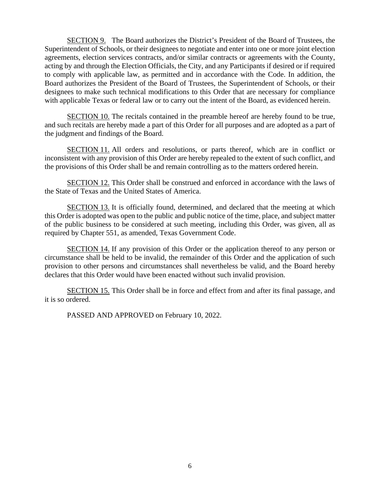SECTION 9. The Board authorizes the District's President of the Board of Trustees, the Superintendent of Schools, or their designees to negotiate and enter into one or more joint election agreements, election services contracts, and/or similar contracts or agreements with the County, acting by and through the Election Officials, the City, and any Participants if desired or if required to comply with applicable law, as permitted and in accordance with the Code. In addition, the Board authorizes the President of the Board of Trustees, the Superintendent of Schools, or their designees to make such technical modifications to this Order that are necessary for compliance with applicable Texas or federal law or to carry out the intent of the Board, as evidenced herein.

SECTION 10. The recitals contained in the preamble hereof are hereby found to be true, and such recitals are hereby made a part of this Order for all purposes and are adopted as a part of the judgment and findings of the Board.

SECTION 11. All orders and resolutions, or parts thereof, which are in conflict or inconsistent with any provision of this Order are hereby repealed to the extent of such conflict, and the provisions of this Order shall be and remain controlling as to the matters ordered herein.

SECTION 12. This Order shall be construed and enforced in accordance with the laws of the State of Texas and the United States of America.

SECTION 13. It is officially found, determined, and declared that the meeting at which this Order is adopted was open to the public and public notice of the time, place, and subject matter of the public business to be considered at such meeting, including this Order, was given, all as required by Chapter 551, as amended, Texas Government Code.

SECTION 14. If any provision of this Order or the application thereof to any person or circumstance shall be held to be invalid, the remainder of this Order and the application of such provision to other persons and circumstances shall nevertheless be valid, and the Board hereby declares that this Order would have been enacted without such invalid provision.

SECTION 15. This Order shall be in force and effect from and after its final passage, and it is so ordered.

PASSED AND APPROVED on February 10, 2022.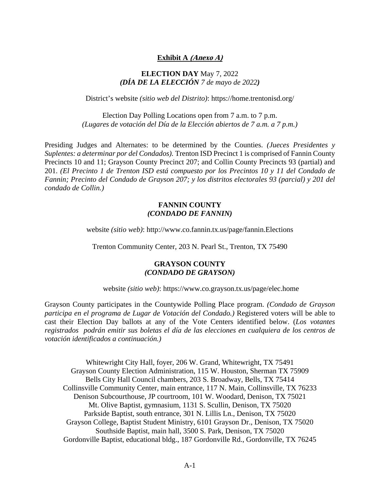## **Exhibit A (Anexo A)**

### **ELECTION DAY** May 7, 2022 *(DÍA DE LA ELECCIÓN 7 de mayo de 2022)*

District's website *(sitio web del Distrito)*: https://home.trentonisd.org/

Election Day Polling Locations open from 7 a.m. to 7 p.m. *(Lugares de votación del Día de la Elección abiertos de 7 a.m. a 7 p.m.)* 

Presiding Judges and Alternates: to be determined by the Counties. *(Jueces Presidentes y Suplentes: a determinar por del Condados).* Trenton ISD Precinct 1 is comprised of Fannin County Precincts 10 and 11; Grayson County Precinct 207; and Collin County Precincts 93 (partial) and 201. *(El Precinto 1 de Trenton ISD está compuesto por los Precintos 10 y 11 del Condado de Fannin; Precinto del Condado de Grayson 207; y los distritos electorales 93 (parcial) y 201 del condado de Collin.)*

## **FANNIN COUNTY**  *(CONDADO DE FANNIN)*

website *(sitio web)*: http://www.co.fannin.tx.us/page/fannin.Elections

Trenton Community Center, 203 N. Pearl St., Trenton, TX 75490

## **GRAYSON COUNTY**  *(CONDADO DE GRAYSON)*

website *(sitio web)*: https://www.co.grayson.tx.us/page/elec.home

Grayson County participates in the Countywide Polling Place program. *(Condado de Grayson participa en el programa de Lugar de Votación del Condado.)* Registered voters will be able to cast their Election Day ballots at any of the Vote Centers identified below. (*Los votantes registrados podrán emitir sus boletas el día de las elecciones en cualquiera de los centros de votación identificados a continuación.)* 

Whitewright City Hall, foyer, 206 W. Grand, Whitewright, TX 75491 Grayson County Election Administration, 115 W. Houston, Sherman TX 75909 Bells City Hall Council chambers, 203 S. Broadway, Bells, TX 75414 Collinsville Community Center, main entrance, 117 N. Main, Collinsville, TX 76233 Denison Subcourthouse, JP courtroom, 101 W. Woodard, Denison, TX 75021 Mt. Olive Baptist, gymnasium, 1131 S. Scullin, Denison, TX 75020 Parkside Baptist, south entrance, 301 N. Lillis Ln., Denison, TX 75020 Grayson College, Baptist Student Ministry, 6101 Grayson Dr., Denison, TX 75020 Southside Baptist, main hall, 3500 S. Park, Denison, TX 75020 Gordonville Baptist, educational bldg., 187 Gordonville Rd., Gordonville, TX 76245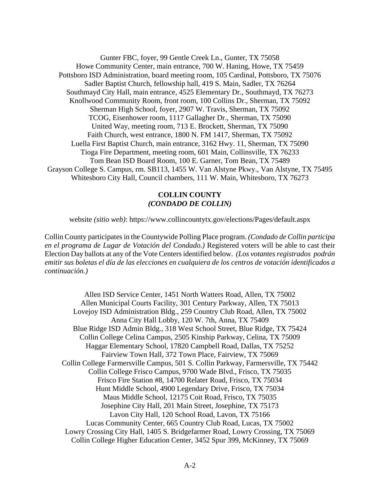Gunter FBC, foyer, 99 Gentle Creek Ln., Gunter, TX 75058 Howe Community Center, main entrance, 700 W. Haning, Howe, TX 75459 Pottsboro ISD Administration, board meeting room, 105 Cardinal, Pottsboro, TX 75076 Sadler Baptist Church, fellowship hall, 419 S. Main, Sadler, TX 76264 Southmayd City Hall, main entrance, 4525 Elementary Dr., Southmayd, TX 76273 Knollwood Community Room, front room, 100 Collins Dr., Sherman, TX 75092 Sherman High School, foyer, 2907 W. Travis, Sherman, TX 75092 TCOG, Eisenhower room, 1117 Gallagher Dr., Sherman, TX 75090 United Way, meeting room, 713 E. Brockett, Sherman, TX 75090 Faith Church, west entrance, 1800 N. FM 1417, Sherman, TX 75092 Luella First Baptist Church, main entrance, 3162 Hwy. 11, Sherman, TX 75090 Tioga Fire Department, meeting room, 601 Main, Collinsville, TX 76233 Tom Bean ISD Board Room, 100 E. Garner, Tom Bean, TX 75489 Grayson College S. Campus, rm. SB113, 1455 W. Van Alstyne Pkwy., Van Alstyne, TX 75495 Whitesboro City Hall, Council chambers, 111 W. Main, Whitesboro, TX 76273

## **COLLIN COUNTY**  *(CONDADO DE COLLIN)*

website *(sitio web)*: https://www.collincountytx.gov/elections/Pages/default.aspx

Collin County participates in the Countywide Polling Place program. *(Condado de Collin participa en el programa de Lugar de Votación del Condado.)* Registered voters will be able to cast their Election Day ballots at any of the Vote Centers identified below. *(Los votantes registrados podrán emitir sus boletas el día de las elecciones en cualquiera de los centros de votación identificados a continuación.)* 

Allen ISD Service Center, 1451 North Watters Road, Allen, TX 75002 Allen Municipal Courts Facility, 301 Century Parkway, Allen, TX 75013 Lovejoy ISD Administration Bldg., 259 Country Club Road, Allen, TX 75002 Anna City Hall Lobby, 120 W. 7th, Anna, TX 75409 Blue Ridge ISD Admin Bldg., 318 West School Street, Blue Ridge, TX 75424 Collin College Celina Campus, 2505 Kinship Parkway, Celina, TX 75009 Haggar Elementary School, 17820 Campbell Road, Dallas, TX 75252 Fairview Town Hall, 372 Town Place, Fairview, TX 75069 Collin College Farmersville Campus, 501 S. Collin Parkway, Farmersville, TX 75442 Collin College Frisco Campus, 9700 Wade Blvd., Frisco, TX 75035 Frisco Fire Station #8, 14700 Relater Road, Frisco, TX 75034 Hunt Middle School, 4900 Legendary Drive, Frisco, TX 75034 Maus Middle School, 12175 Coit Road, Frisco, TX 75035 Josephine City Hall, 201 Main Street, Josephine, TX 75173 Lavon City Hall, 120 School Road, Lavon, TX 75166 Lucas Community Center, 665 Country Club Road, Lucas, TX 75002 Lowry Crossing City Hall, 1405 S. Bridgefarmer Road, Lowry Crossing, TX 75069 Collin College Higher Education Center, 3452 Spur 399, McKinney, TX 75069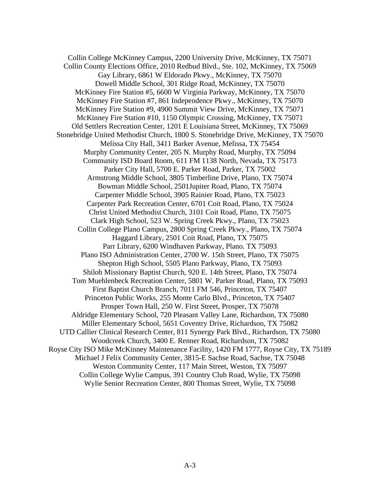Collin College McKinney Campus, 2200 University Drive, McKinney, TX 75071 Collin County Elections Office, 2010 Redbud Blvd., Ste. 102, McKinney, TX 75069 Gay Library, 6861 W Eldorado Pkwy., McKinney, TX 75070 Dowell Middle School, 301 Ridge Road, McKinney, TX 75070 McKinney Fire Station #5, 6600 W Virginia Parkway, McKinney, TX 75070 McKinney Fire Station #7, 861 Independence Pkwy., McKinney, TX 75070 McKinney Fire Station #9, 4900 Summit View Drive, McKinney, TX 75071 McKinney Fire Station #10, 1150 Olympic Crossing, McKinney, TX 75071 Old Settlers Recreation Center, 1201 E Louisiana Street, McKinney, TX 75069 Stonebridge United Methodist Church, 1800 S. Stonebridge Drive, McKinney, TX 75070 Melissa City Hall, 3411 Barker Avenue, Melissa, TX 75454 Murphy Community Center, 205 N. Murphy Road, Murphy, TX 75094 Community ISD Board Room, 611 FM 1138 North, Nevada, TX 75173 Parker City Hall, 5700 E. Parker Road, Parker, TX 75002 Armstrong Middle School, 3805 Timberline Drive, Plano, TX 75074 Bowman Middle School, 2501Jupiter Road, Plano, TX 75074 Carpenter Middle School, 3905 Rainier Road, Plano, TX 75023 Carpenter Park Recreation Center, 6701 Coit Road, Plano, TX 75024 Christ United Methodist Church, 3101 Coit Road, Plano, TX 75075 Clark High School, 523 W. Spring Creek Pkwy., Plano, TX 75023 Collin College Plano Campus, 2800 Spring Creek Pkwy., Plano, TX 75074 Haggard Library, 2501 Coit Road, Plano, TX 75075 Parr Library, 6200 Windhaven Parkway, Plano. TX 75093 Plano ISO Administration Center, 2700 W. 15th Street, Plano, TX 75075 Shepton High School, 5505 Plano Parkway, Plano, TX 75093 Shiloh Missionary Baptist Church, 920 E. 14th Street, Plano, TX 75074 Tom Muehlenbeck Recreation Center, 5801 W. Parker Road, Plano, TX 75093 First Baptist Church Branch, 7011 FM 546, Princeton, TX 75407 Princeton Public Works, 255 Monte Carlo Blvd., Princeton, TX 75407 Prosper Town Hall, 250 W. First Street, Prosper, TX 75078 Aldridge Elementary School, 720 Pleasant Valley Lane, Richardson, TX 75080 Miller Elementary School, 5651 Coventry Drive, Richardson, TX 75082 UTD Callier Clinical Research Center, 811 Synergy Park Blvd., Richardson, TX 75080 Woodcreek Church, 3400 E. Renner Road, Richardson, TX 75082 Royse City ISO Mike McKinney Maintenance Facility, 1420 FM 1777, Royse City, TX 75189 Michael J Felix Community Center, 3815-E Sachse Road, Sachse, TX 75048 Weston Community Center, 117 Main Street, Weston, TX 75097 Collin College Wylie Campus, 391 Country Club Road, Wylie, TX 75098

Wylie Senior Recreation Center, 800 Thomas Street, Wylie, TX 75098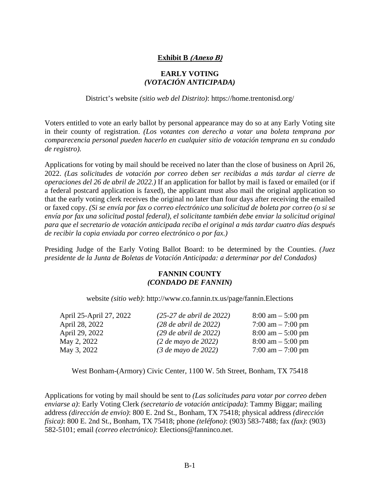## **Exhibit B (Anexo B)**

## **EARLY VOTING**  *(VOTACIÓN ANTICIPADA)*

### District's website *(sitio web del Distrito)*: https://home.trentonisd.org/

Voters entitled to vote an early ballot by personal appearance may do so at any Early Voting site in their county of registration. *(Los votantes con derecho a votar una boleta temprana por comparecencia personal pueden hacerlo en cualquier sitio de votación temprana en su condado de registro).* 

Applications for voting by mail should be received no later than the close of business on April 26, 2022. *(Las solicitudes de votación por correo deben ser recibidas a más tardar al cierre de operaciones del 26 de abril de 2022.)* If an application for ballot by mail is faxed or emailed (or if a federal postcard application is faxed), the applicant must also mail the original application so that the early voting clerk receives the original no later than four days after receiving the emailed or faxed copy. *(Si se envía por fax o correo electrónico una solicitud de boleta por correo (o si se envía por fax una solicitud postal federal), el solicitante también debe enviar la solicitud original para que el secretario de votación anticipada reciba el original a más tardar cuatro días después de recibir la copia enviada por correo electrónico o por fax.)* 

Presiding Judge of the Early Voting Ballot Board: to be determined by the Counties. *(Juez presidente de la Junta de Boletas de Votación Anticipada: a determinar por del Condados)* 

## **FANNIN COUNTY**  *(CONDADO DE FANNIN)*

website *(sitio web)*: http://www.co.fannin.tx.us/page/fannin.Elections

| $(25-27$ de abril de 2022)                      | $8:00 \text{ am} - 5:00 \text{ pm}$ |
|-------------------------------------------------|-------------------------------------|
| $(28$ de abril de $2022$ )                      | 7:00 am $-$ 7:00 pm                 |
| $(29$ de abril de 2022)                         | $8:00 \text{ am} - 5:00 \text{ pm}$ |
| $(2 \text{ de } \text{mayo } \text{ de } 2022)$ | $8:00 \text{ am} - 5:00 \text{ pm}$ |
| $(3$ de mayo de 2022)                           | $7:00 \text{ am} - 7:00 \text{ pm}$ |
|                                                 |                                     |

West Bonham-(Armory) Civic Center, 1100 W. 5th Street, Bonham, TX 75418

Applications for voting by mail should be sent to *(Las solicitudes para votar por correo deben enviarse a)*: Early Voting Clerk *(secretario de votación anticipada)*: Tammy Biggar; mailing address *(dirección de envio)*: 800 E. 2nd St., Bonham, TX 75418; physical address *(dirección física)*: 800 E. 2nd St., Bonham, TX 75418; phone *(teléfono)*: (903) 583-7488; fax *(fax)*: (903) 582-5101; email *(correo electrónico)*: Elections@fanninco.net.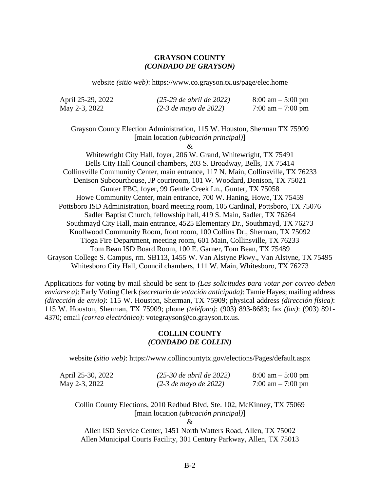## **GRAYSON COUNTY**  *(CONDADO DE GRAYSON)*

website *(sitio web)*: https://www.co.grayson.tx.us/page/elec.home

| April 25-29, 2022 | $(25-29$ de abril de 2022) | $8:00 \text{ am} - 5:00 \text{ pm}$ |
|-------------------|----------------------------|-------------------------------------|
| May 2-3, 2022     | $(2-3$ de mayo de 2022)    | 7:00 am $-$ 7:00 pm                 |

Grayson County Election Administration, 115 W. Houston, Sherman TX 75909 [main location *(ubicación principal)*]

&

Whitewright City Hall, foyer, 206 W. Grand, Whitewright, TX 75491 Bells City Hall Council chambers, 203 S. Broadway, Bells, TX 75414 Collinsville Community Center, main entrance, 117 N. Main, Collinsville, TX 76233 Denison Subcourthouse, JP courtroom, 101 W. Woodard, Denison, TX 75021 Gunter FBC, foyer, 99 Gentle Creek Ln., Gunter, TX 75058 Howe Community Center, main entrance, 700 W. Haning, Howe, TX 75459 Pottsboro ISD Administration, board meeting room, 105 Cardinal, Pottsboro, TX 75076 Sadler Baptist Church, fellowship hall, 419 S. Main, Sadler, TX 76264 Southmayd City Hall, main entrance, 4525 Elementary Dr., Southmayd, TX 76273 Knollwood Community Room, front room, 100 Collins Dr., Sherman, TX 75092 Tioga Fire Department, meeting room, 601 Main, Collinsville, TX 76233 Tom Bean ISD Board Room, 100 E. Garner, Tom Bean, TX 75489 Grayson College S. Campus, rm. SB113, 1455 W. Van Alstyne Pkwy., Van Alstyne, TX 75495 Whitesboro City Hall, Council chambers, 111 W. Main, Whitesboro, TX 76273

Applications for voting by mail should be sent to *(Las solicitudes para votar por correo deben enviarse a)*: Early Voting Clerk *(secretario de votación anticipada)*: Tamie Hayes; mailing address *(dirección de envio)*: 115 W. Houston, Sherman, TX 75909; physical address *(dirección física)*: 115 W. Houston, Sherman, TX 75909; phone *(teléfono)*: (903) 893-8683; fax *(fax)*: (903) 891- 4370; email *(correo electrónico)*: votegrayson@co.grayson.tx.us.

## **COLLIN COUNTY**  *(CONDADO DE COLLIN)*

website *(sitio web)*: https://www.collincountytx.gov/elections/Pages/default.aspx

| April 25-30, 2022 | $(25-30$ de abril de 2022) | $8:00 \text{ am} - 5:00 \text{ pm}$ |
|-------------------|----------------------------|-------------------------------------|
| May 2-3, 2022     | $(2-3$ de mayo de 2022)    | 7:00 am $-$ 7:00 pm                 |

Collin County Elections, 2010 Redbud Blvd, Ste. 102, McKinney, TX 75069 [main location *(ubicación principal)*]

 $\mathcal{R}$ 

Allen ISD Service Center, 1451 North Watters Road, Allen, TX 75002 Allen Municipal Courts Facility, 301 Century Parkway, Allen, TX 75013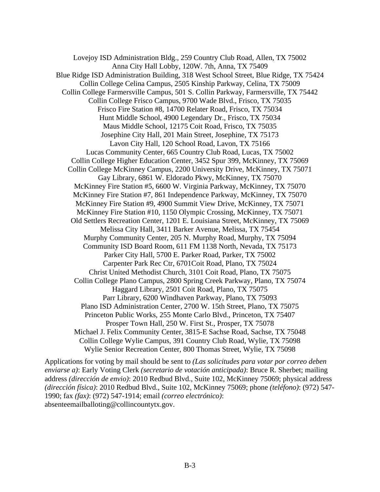Lovejoy ISD Administration Bldg., 259 Country Club Road, Allen, TX 75002 Anna City Hall Lobby, 120W. 7th, Anna, TX 75409 Blue Ridge ISD Administration Building, 318 West School Street, Blue Ridge, TX 75424 Collin College Celina Campus, 2505 Kinship Parkway, Celina, TX 75009 Collin College Farmersville Campus, 501 S. Collin Parkway, Farmersville, TX 75442 Collin College Frisco Campus, 9700 Wade Blvd., Frisco, TX 75035 Frisco Fire Station #8, 14700 Relater Road, Frisco, TX 75034 Hunt Middle School, 4900 Legendary Dr., Frisco, TX 75034 Maus Middle School, 12175 Coit Road, Frisco, TX 75035 Josephine City Hall, 201 Main Street, Josephine, TX 75173 Lavon City Hall, 120 School Road, Lavon, TX 75166 Lucas Community Center, 665 Country Club Road, Lucas, TX 75002 Collin College Higher Education Center, 3452 Spur 399, McKinney, TX 75069 Collin College McKinney Campus, 2200 University Drive, McKinney, TX 75071 Gay Library, 6861 W. Eldorado Pkwy, McKinney, TX 75070 McKinney Fire Station #5, 6600 W. Virginia Parkway, McKinney, TX 75070 McKinney Fire Station #7, 861 Independence Parkway, McKinney, TX 75070 McKinney Fire Station #9, 4900 Summit View Drive, McKinney, TX 75071 McKinney Fire Station #10, 1150 Olympic Crossing, McKinney, TX 75071 Old Settlers Recreation Center, 1201 E. Louisiana Street, McKinney, TX 75069 Melissa City Hall, 3411 Barker Avenue, Melissa, TX 75454 Murphy Community Center, 205 N. Murphy Road, Murphy, TX 75094 Community ISD Board Room, 611 FM 1138 North, Nevada, TX 75173 Parker City Hall, 5700 E. Parker Road, Parker, TX 75002 Carpenter Park Rec Ctr, 6701Coit Road, Plano, TX 75024 Christ United Methodist Church, 3101 Coit Road, Plano, TX 75075 Collin College Plano Campus, 2800 Spring Creek Parkway, Plano, TX 75074 Haggard Library, 2501 Coit Road, Plano, TX 75075 Parr Library, 6200 Windhaven Parkway, Plano, TX 75093 Plano ISD Administration Center, 2700 W. 15th Street, Plano, TX 75075 Princeton Public Works, 255 Monte Carlo Blvd., Princeton, TX 75407 Prosper Town Hall, 250 W. First St., Prosper, TX 75078 Michael J. Felix Community Center, 3815-E Sachse Road, Sachse, TX 75048 Collin College Wylie Campus, 391 Country Club Road, Wylie, TX 75098 Wylie Senior Recreation Center, 800 Thomas Street, Wylie, TX 75098

Applications for voting by mail should be sent to *(Las solicitudes para votar por correo deben enviarse a)*: Early Voting Clerk *(secretario de votación anticipada)*: Bruce R. Sherbet; mailing address *(dirección de envio)*: 2010 Redbud Blvd., Suite 102, McKinney 75069; physical address *(dirección física)*: 2010 Redbud Blvd., Suite 102, McKinney 75069; phone *(teléfono)*: (972) 547- 1990; fax *(fax)*: (972) 547-1914; email *(correo electrónico)*: absenteemailballoting@collincountytx.gov.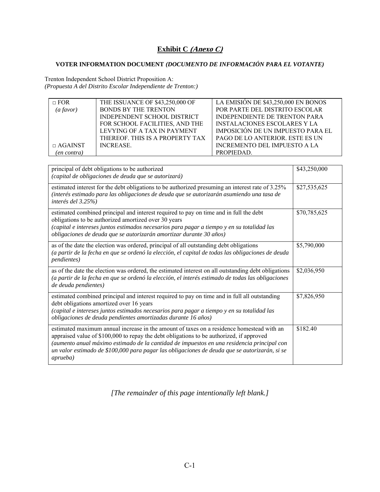# **Exhibit C (Anexo C)**

## **VOTER INFORMATION DOCUMENT** *(DOCUMENTO DE INFORMACIÓN PARA EL VOTANTE)*

Trenton Independent School District Proposition A: *(Propuesta A del Distrito Escolar Independiente de Trenton:)*

| $\Box$ FOR     | THE ISSUANCE OF \$43,250,000 OF | LA EMISIÓN DE \$43,250,000 EN BONOS      |
|----------------|---------------------------------|------------------------------------------|
| (a favor)      | <b>BONDS BY THE TRENTON</b>     | POR PARTE DEL DISTRITO ESCOLAR           |
|                | INDEPENDENT SCHOOL DISTRICT     | <b>INDEPENDIENTE DE TRENTON PARA</b>     |
|                | FOR SCHOOL FACILITIES, AND THE  | <b>INSTALACIONES ESCOLARES Y LA</b>      |
|                | LEVYING OF A TAX IN PAYMENT     | <b>IMPOSICIÓN DE UN IMPUESTO PARA EL</b> |
|                | THEREOF, THIS IS A PROPERTY TAX | <b>PAGO DE LO ANTERIOR. ESTE ES UN</b>   |
| $\Box$ AGAINST | <b>INCREASE.</b>                | INCREMENTO DEL IMPUESTO A LA             |
| (en contra)    |                                 | PROPIEDAD.                               |

| principal of debt obligations to be authorized<br>(capital de obligaciones de deuda que se autorizará)                                                                                                                                                                                                                                                                                                   | \$43,250,000 |
|----------------------------------------------------------------------------------------------------------------------------------------------------------------------------------------------------------------------------------------------------------------------------------------------------------------------------------------------------------------------------------------------------------|--------------|
| estimated interest for the debt obligations to be authorized presuming an interest rate of 3.25%<br>(interés estimado para las obligaciones de deuda que se autorizarán asumiendo una tasa de<br>interés del $3.25\%$                                                                                                                                                                                    | \$27,535,625 |
| estimated combined principal and interest required to pay on time and in full the debt<br>obligations to be authorized amortized over 30 years<br>(capital e intereses juntos estimados necesarios para pagar a tiempo y en su totalidad las<br>obligaciones de deuda que se autorizarán amortizar durante 30 años)                                                                                      | \$70,785,625 |
| as of the date the election was ordered, principal of all outstanding debt obligations<br>(a partir de la fecha en que se ordenó la elección, el capital de todas las obligaciones de deuda<br><i>pendientes</i> )                                                                                                                                                                                       | \$5,790,000  |
| as of the date the election was ordered, the estimated interest on all outstanding debt obligations<br>(a partir de la fecha en que se ordenó la elección, el interés estimado de todas las obligaciones<br>de deuda pendientes)                                                                                                                                                                         | \$2,036,950  |
| estimated combined principal and interest required to pay on time and in full all outstanding<br>debt obligations amortized over 16 years<br>(capital e intereses juntos estimados necesarios para pagar a tiempo y en su totalidad las<br>obligaciones de deuda pendientes amortizadas durante 16 años)                                                                                                 | \$7,826,950  |
| estimated maximum annual increase in the amount of taxes on a residence homestead with an<br>appraised value of \$100,000 to repay the debt obligations to be authorized, if approved<br>(aumento anual máximo estimado de la cantidad de impuestos en una residencia principal con<br>un valor estimado de \$100,000 para pagar las obligaciones de deuda que se autorizarán, si se<br><i>aprueba</i> ) | \$182.40     |

*[The remainder of this page intentionally left blank.]*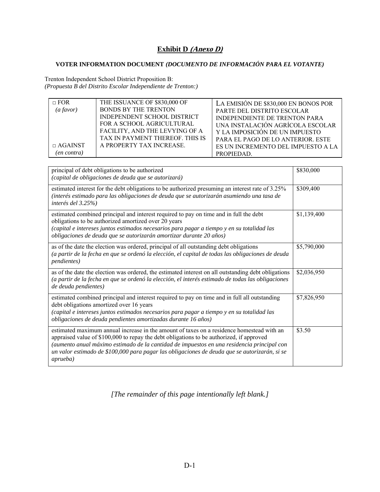## **Exhibit D** (Anexo D)

## **VOTER INFORMATION DOCUMENT** *(DOCUMENTO DE INFORMACIÓN PARA EL VOTANTE)*

Trenton Independent School District Proposition B: *(Propuesta B del Distrito Escolar Independiente de Trenton:)*

| $\Box$ FOR<br>$(a$ favor)<br>$\Box$ AGAINST<br>(en contra) | THE ISSUANCE OF \$830,000 OF<br><b>BONDS BY THE TRENTON</b><br>INDEPENDENT SCHOOL DISTRICT<br>FOR A SCHOOL AGRICULTURAL<br>FACILITY, AND THE LEVYING OF A<br>TAX IN PAYMENT THEREOF. THIS IS<br>A PROPERTY TAX INCREASE. | LA EMISIÓN DE \$830,000 EN BONOS POR<br>PARTE DEL DISTRITO ESCOLAR<br><b>INDEPENDIENTE DE TRENTON PARA</b><br>UNA INSTALACIÓN AGRÍCOLA ESCOLAR<br>Y LA IMPOSICIÓN DE UN IMPUESTO<br>PARA EL PAGO DE LO ANTERIOR. ESTE<br>ES UN INCREMENTO DEL IMPUESTO A LA<br>PROPIEDAD. |
|------------------------------------------------------------|--------------------------------------------------------------------------------------------------------------------------------------------------------------------------------------------------------------------------|---------------------------------------------------------------------------------------------------------------------------------------------------------------------------------------------------------------------------------------------------------------------------|
|------------------------------------------------------------|--------------------------------------------------------------------------------------------------------------------------------------------------------------------------------------------------------------------------|---------------------------------------------------------------------------------------------------------------------------------------------------------------------------------------------------------------------------------------------------------------------------|

| principal of debt obligations to be authorized<br>(capital de obligaciones de deuda que se autorizará)                                                                                                                                                                                                                                                                                                   | \$830,000   |
|----------------------------------------------------------------------------------------------------------------------------------------------------------------------------------------------------------------------------------------------------------------------------------------------------------------------------------------------------------------------------------------------------------|-------------|
| estimated interest for the debt obligations to be authorized presuming an interest rate of 3.25%<br>(interés estimado para las obligaciones de deuda que se autorizarán asumiendo una tasa de<br>interés del 3.25%)                                                                                                                                                                                      | \$309,400   |
| estimated combined principal and interest required to pay on time and in full the debt<br>obligations to be authorized amortized over 20 years<br>(capital e intereses juntos estimados necesarios para pagar a tiempo y en su totalidad las<br>obligaciones de deuda que se autorizarán amortizar durante 20 años)                                                                                      | \$1,139,400 |
| as of the date the election was ordered, principal of all outstanding debt obligations<br>(a partir de la fecha en que se ordenó la elección, el capital de todas las obligaciones de deuda<br><i>pendientes</i> )                                                                                                                                                                                       | \$5,790,000 |
| as of the date the election was ordered, the estimated interest on all outstanding debt obligations<br>(a partir de la fecha en que se ordenó la elección, el interés estimado de todas las obligaciones<br>de deuda pendientes)                                                                                                                                                                         | \$2,036,950 |
| estimated combined principal and interest required to pay on time and in full all outstanding<br>debt obligations amortized over 16 years<br>(capital e intereses juntos estimados necesarios para pagar a tiempo y en su totalidad las<br>obligaciones de deuda pendientes amortizadas durante 16 años)                                                                                                 | \$7,826,950 |
| estimated maximum annual increase in the amount of taxes on a residence homestead with an<br>appraised value of \$100,000 to repay the debt obligations to be authorized, if approved<br>(aumento anual máximo estimado de la cantidad de impuestos en una residencia principal con<br>un valor estimado de \$100,000 para pagar las obligaciones de deuda que se autorizarán, si se<br><i>aprueba</i> ) | \$3.50      |

*[The remainder of this page intentionally left blank.]*